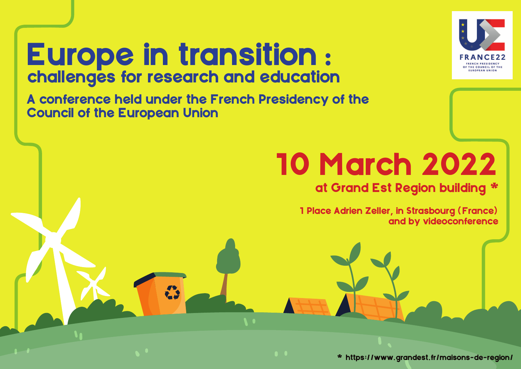

# Europe in transition : challenges for research and education

A conference held under the French Presidency of the Council of the European Union

## 10 March 2022

## at Grand Est Region building \*

1 Place Adrien Zeller, in Strasbourg (France) and by videoconference

\* https://www.grandest.fr/maisons-de-region/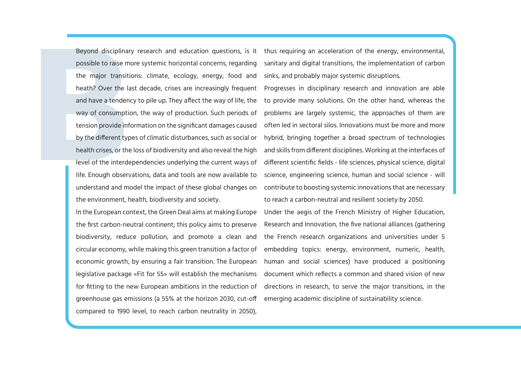possible to raise more systemic horizontal concerns, regarding the major transitions: climate, ecology, energy, food and heath? Over the last decade, crises are increasingly frequent and have a tendency to pile up. They affect the way of life, the way of consumption, the way of production. Such periods of tension provide information on the significant damages caused by the different types of climatic disturbances, such as social or health crises, or the loss of biodiversity and also reveal the high level of the interdependencies underlying the current ways of life. Enough observations, data and tools are now available to understand and model the impact of these global changes on the environment, health, biodiversity and society.

In the European context, the Green Deal aims at making Europe the first carbon-neutral continent; this policy aims to preserve biodiversity, reduce pollution, and promote a clean and circular economy, while making this green transition a factor of economic growth, by ensuring a fair transition. The European legislative package «Fit for 55» will establish the mechanisms for fitting to the new European ambitions in the reduction of greenhouse gas emissions (a 55% at the horizon 2030, cut-off compared to 1990 level, to reach carbon neutrality in 2050),

Beyond disciplinary research and education questions, is it ) thus requiring an acceleration of the energy, environmental, sanitary and digital transitions, the implementation of carbon sinks, and probably major systemic disruptions.

> Progresses in disciplinary research and innovation are able to provide many solutions. On the other hand, whereas the problems are largely systemic, the approaches of them are often led in sectoral silos. Innovations must be more and more hybrid, bringing together a broad spectrum of technologies and skills from different disciplines. Working at the interfaces of different scientific fields - life sciences, physical science, digital science, engineering science, human and social science - will contribute to boosting systemic innovations that are necessary to reach a carbon-neutral and resilient society by 2050.

> Under the aegis of the French Ministry of Higher Education, Research and Innovation, the five national alliances (gathering the French research organizations and universities under 5 embedding topics: energy, environment, numeric, health, human and social sciences) have produced a positioning document which reflects a common and shared vision of new directions in research, to serve the major transitions, in the emerging academic discipline of sustainability science.